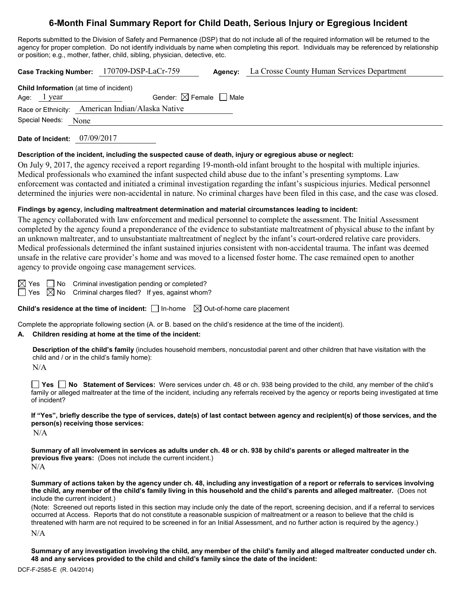# **6-Month Final Summary Report for Child Death, Serious Injury or Egregious Incident**

Reports submitted to the Division of Safety and Permanence (DSP) that do not include all of the required information will be returned to the agency for proper completion. Do not identify individuals by name when completing this report. Individuals may be referenced by relationship or position; e.g., mother, father, child, sibling, physician, detective, etc.

|                                                | Case Tracking Number: 170709-DSP-LaCr-759        | <b>Agency:</b> La Crosse County Human Services Department |
|------------------------------------------------|--------------------------------------------------|-----------------------------------------------------------|
| <b>Child Information</b> (at time of incident) |                                                  |                                                           |
| Age: $1$ year                                  | Gender: $\boxtimes$ Female $\Box$ Male           |                                                           |
|                                                | Race or Ethnicity: American Indian/Alaska Native |                                                           |
| Special Needs:<br>None                         |                                                  |                                                           |
|                                                |                                                  |                                                           |

**Date of Incident:** 07/09/2017

#### **Description of the incident, including the suspected cause of death, injury or egregious abuse or neglect:**

On July 9, 2017, the agency received a report regarding 19-month-old infant brought to the hospital with multiple injuries. Medical professionals who examined the infant suspected child abuse due to the infant's presenting symptoms. Law enforcement was contacted and initiated a criminal investigation regarding the infant's suspicious injuries. Medical personnel determined the injuries were non-accidental in nature. No criminal charges have been filed in this case, and the case was closed.

## **Findings by agency, including maltreatment determination and material circumstances leading to incident:**

The agency collaborated with law enforcement and medical personnel to complete the assessment. The Initial Assessment completed by the agency found a preponderance of the evidence to substantiate maltreatment of physical abuse to the infant by an unknown maltreater, and to unsubstantiate maltreatment of neglect by the infant's court-ordered relative care providers. Medical professionals determined the infant sustained injuries consistent with non-accidental trauma. The infant was deemed unsafe in the relative care provider's home and was moved to a licensed foster home. The case remained open to another agency to provide ongoing case management services.

 $\boxtimes$  Yes  $\Box$  No Criminal investigation pending or completed?

 $\Box$  Yes  $\boxtimes$  No Criminal charges filed? If yes, against whom?

**Child's residence at the time of incident:**  $\Box$  In-home  $\Box$  Out-of-home care placement

Complete the appropriate following section (A. or B. based on the child's residence at the time of the incident).

#### **A. Children residing at home at the time of the incident:**

**Description of the child's family** (includes household members, noncustodial parent and other children that have visitation with the child and / or in the child's family home):

N/A

**Yes No Statement of Services:** Were services under ch. 48 or ch. 938 being provided to the child, any member of the child's family or alleged maltreater at the time of the incident, including any referrals received by the agency or reports being investigated at time of incident?

**If "Yes", briefly describe the type of services, date(s) of last contact between agency and recipient(s) of those services, and the person(s) receiving those services:**

 $N/A$ 

**Summary of all involvement in services as adults under ch. 48 or ch. 938 by child's parents or alleged maltreater in the previous five years:** (Does not include the current incident.) N/A

**Summary of actions taken by the agency under ch. 48, including any investigation of a report or referrals to services involving the child, any member of the child's family living in this household and the child's parents and alleged maltreater.** (Does not include the current incident.)

(Note: Screened out reports listed in this section may include only the date of the report, screening decision, and if a referral to services occurred at Access. Reports that do not constitute a reasonable suspicion of maltreatment or a reason to believe that the child is threatened with harm are not required to be screened in for an Initial Assessment, and no further action is required by the agency.)

N/A

**Summary of any investigation involving the child, any member of the child's family and alleged maltreater conducted under ch. 48 and any services provided to the child and child's family since the date of the incident:**